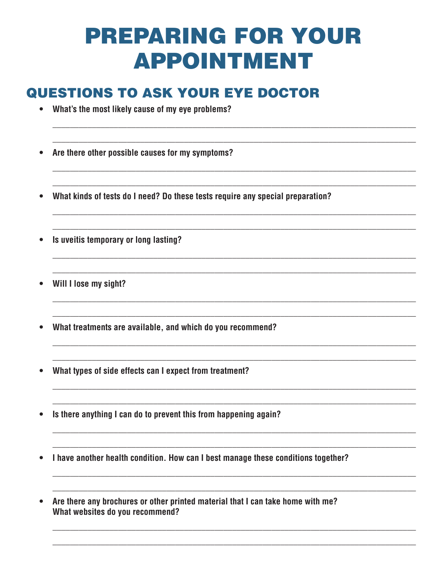## **PREPARING FOR YOUR APPOINTMENT**

## **QUESTIONS TO ASK YOUR EYE DOCTOR**

- What's the most likely cause of my eye problems?  $\bullet$
- Are there other possible causes for my symptoms?  $\bullet$
- What kinds of tests do I need? Do these tests require any special preparation?
- Is uveitis temporary or long lasting?  $\bullet$
- Will I lose my sight?
- What treatments are available, and which do you recommend?
- What types of side effects can I expect from treatment?
- Is there anything I can do to prevent this from happening again?
- I have another health condition. How can I best manage these conditions together?  $\bullet$
- Are there any brochures or other printed material that I can take home with me?  $\bullet$ What websites do you recommend?